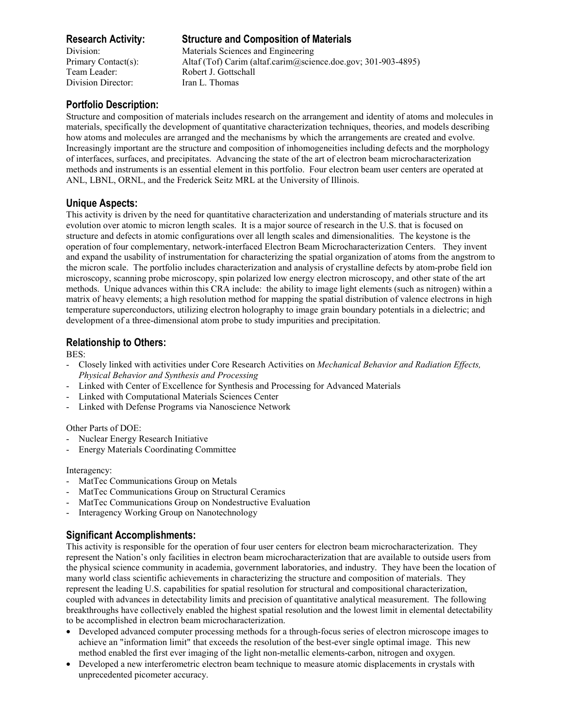Division Director: Iran L. Thomas

# **Research Activity: Structure and Composition of Materials**

Division: Materials Sciences and Engineering Primary Contact(s): Altaf (Tof) Carim (altaf.carim@science.doe.gov; 301-903-4895) Team Leader: Robert J. Gottschall

## **Portfolio Description:**

Structure and composition of materials includes research on the arrangement and identity of atoms and molecules in materials, specifically the development of quantitative characterization techniques, theories, and models describing how atoms and molecules are arranged and the mechanisms by which the arrangements are created and evolve. Increasingly important are the structure and composition of inhomogeneities including defects and the morphology of interfaces, surfaces, and precipitates. Advancing the state of the art of electron beam microcharacterization methods and instruments is an essential element in this portfolio. Four electron beam user centers are operated at ANL, LBNL, ORNL, and the Frederick Seitz MRL at the University of Illinois.

## **Unique Aspects:**

This activity is driven by the need for quantitative characterization and understanding of materials structure and its evolution over atomic to micron length scales. It is a major source of research in the U.S. that is focused on structure and defects in atomic configurations over all length scales and dimensionalities. The keystone is the operation of four complementary, network-interfaced Electron Beam Microcharacterization Centers. They invent and expand the usability of instrumentation for characterizing the spatial organization of atoms from the angstrom to the micron scale. The portfolio includes characterization and analysis of crystalline defects by atom-probe field ion microscopy, scanning probe microscopy, spin polarized low energy electron microscopy, and other state of the art methods. Unique advances within this CRA include: the ability to image light elements (such as nitrogen) within a matrix of heavy elements; a high resolution method for mapping the spatial distribution of valence electrons in high temperature superconductors, utilizing electron holography to image grain boundary potentials in a dielectric; and development of a three-dimensional atom probe to study impurities and precipitation.

## **Relationship to Others:**

BES:

- Closely linked with activities under Core Research Activities on *Mechanical Behavior and Radiation Effects, Physical Behavior and Synthesis and Processing*
- Linked with Center of Excellence for Synthesis and Processing for Advanced Materials
- Linked with Computational Materials Sciences Center
- Linked with Defense Programs via Nanoscience Network

Other Parts of DOE:

- Nuclear Energy Research Initiative
- Energy Materials Coordinating Committee

#### Interagency:

- MatTec Communications Group on Metals
- MatTec Communications Group on Structural Ceramics
- MatTec Communications Group on Nondestructive Evaluation
- Interagency Working Group on Nanotechnology

# **Significant Accomplishments:**

This activity is responsible for the operation of four user centers for electron beam microcharacterization. They represent the Nation's only facilities in electron beam microcharacterization that are available to outside users from the physical science community in academia, government laboratories, and industry. They have been the location of many world class scientific achievements in characterizing the structure and composition of materials. They represent the leading U.S. capabilities for spatial resolution for structural and compositional characterization, coupled with advances in detectability limits and precision of quantitative analytical measurement. The following breakthroughs have collectively enabled the highest spatial resolution and the lowest limit in elemental detectability to be accomplished in electron beam microcharacterization.

- Developed advanced computer processing methods for a through-focus series of electron microscope images to achieve an "information limit" that exceeds the resolution of the best-ever single optimal image. This new method enabled the first ever imaging of the light non-metallic elements-carbon, nitrogen and oxygen.
- Developed a new interferometric electron beam technique to measure atomic displacements in crystals with unprecedented picometer accuracy.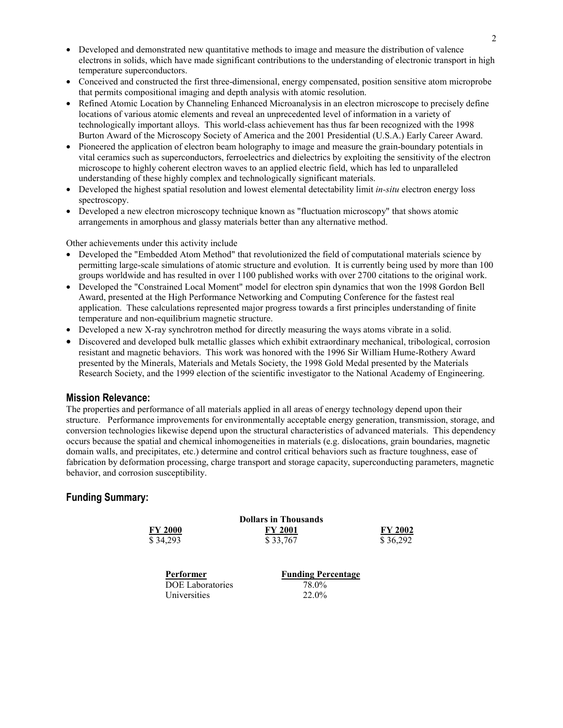- Developed and demonstrated new quantitative methods to image and measure the distribution of valence electrons in solids, which have made significant contributions to the understanding of electronic transport in high temperature superconductors.
- Conceived and constructed the first three-dimensional, energy compensated, position sensitive atom microprobe that permits compositional imaging and depth analysis with atomic resolution.
- Refined Atomic Location by Channeling Enhanced Microanalysis in an electron microscope to precisely define locations of various atomic elements and reveal an unprecedented level of information in a variety of technologically important alloys. This world-class achievement has thus far been recognized with the 1998 Burton Award of the Microscopy Society of America and the 2001 Presidential (U.S.A.) Early Career Award.
- Pioneered the application of electron beam holography to image and measure the grain-boundary potentials in vital ceramics such as superconductors, ferroelectrics and dielectrics by exploiting the sensitivity of the electron microscope to highly coherent electron waves to an applied electric field, which has led to unparalleled understanding of these highly complex and technologically significant materials.
- Developed the highest spatial resolution and lowest elemental detectability limit *in-situ* electron energy loss spectroscopy.
- Developed a new electron microscopy technique known as "fluctuation microscopy" that shows atomic arrangements in amorphous and glassy materials better than any alternative method.

Other achievements under this activity include

- Developed the "Embedded Atom Method" that revolutionized the field of computational materials science by permitting large-scale simulations of atomic structure and evolution. It is currently being used by more than 100 groups worldwide and has resulted in over 1100 published works with over 2700 citations to the original work.
- Developed the "Constrained Local Moment" model for electron spin dynamics that won the 1998 Gordon Bell Award, presented at the High Performance Networking and Computing Conference for the fastest real application. These calculations represented major progress towards a first principles understanding of finite temperature and non-equilibrium magnetic structure.
- Developed a new X-ray synchrotron method for directly measuring the ways atoms vibrate in a solid.
- Discovered and developed bulk metallic glasses which exhibit extraordinary mechanical, tribological, corrosion resistant and magnetic behaviors. This work was honored with the 1996 Sir William Hume-Rothery Award presented by the Minerals, Materials and Metals Society, the 1998 Gold Medal presented by the Materials Research Society, and the 1999 election of the scientific investigator to the National Academy of Engineering.

#### **Mission Relevance:**

The properties and performance of all materials applied in all areas of energy technology depend upon their structure. Performance improvements for environmentally acceptable energy generation, transmission, storage, and conversion technologies likewise depend upon the structural characteristics of advanced materials. This dependency occurs because the spatial and chemical inhomogeneities in materials (e.g. dislocations, grain boundaries, magnetic domain walls, and precipitates, etc.) determine and control critical behaviors such as fracture toughness, ease of fabrication by deformation processing, charge transport and storage capacity, superconducting parameters, magnetic behavior, and corrosion susceptibility.

#### **Funding Summary:**

|           | <b>Dollars in Thousands</b> |                           |                |
|-----------|-----------------------------|---------------------------|----------------|
|           | <b>FY 2000</b>              | <b>FY 2001</b>            | <b>FY 2002</b> |
|           | \$34,293                    | \$33,767                  | \$36,292       |
| Performer |                             | <b>Funding Percentage</b> |                |

DOE Laboratories 78.0% Universities 22.0%